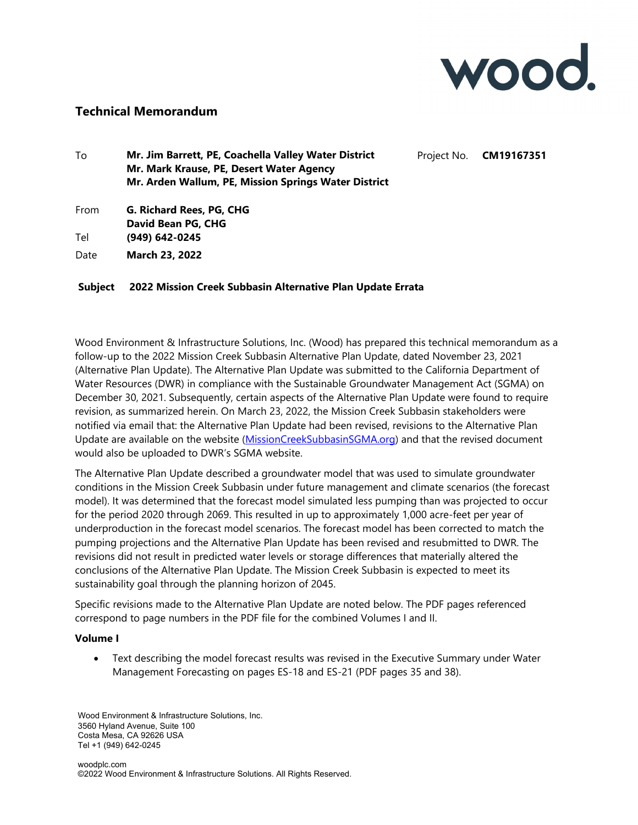

## **Technical Memorandum**

| To   | Mr. Jim Barrett, PE, Coachella Valley Water District | Project No. <b>CM19167351</b> |
|------|------------------------------------------------------|-------------------------------|
|      | Mr. Mark Krause, PE, Desert Water Agency             |                               |
|      | Mr. Arden Wallum, PE, Mission Springs Water District |                               |
| From | G. Richard Rees, PG, CHG                             |                               |
|      | David Bean PG, CHG                                   |                               |
| Tel  | (949) 642-0245                                       |                               |
| Date | <b>March 23, 2022</b>                                |                               |

## **Subject 2022 Mission Creek Subbasin Alternative Plan Update Errata**

Wood Environment & Infrastructure Solutions, Inc. (Wood) has prepared this technical memorandum as a follow-up to the 2022 Mission Creek Subbasin Alternative Plan Update, dated November 23, 2021 (Alternative Plan Update). The Alternative Plan Update was submitted to the California Department of Water Resources (DWR) in compliance with the Sustainable Groundwater Management Act (SGMA) on December 30, 2021. Subsequently, certain aspects of the Alternative Plan Update were found to require revision, as summarized herein. On March 23, 2022, the Mission Creek Subbasin stakeholders were notified via email that: the Alternative Plan Update had been revised, revisions to the Alternative Plan Update are available on the website (MissionCreekSubbasinSGMA.org) and that the revised document would also be uploaded to DWR's SGMA website.

The Alternative Plan Update described a groundwater model that was used to simulate groundwater conditions in the Mission Creek Subbasin under future management and climate scenarios (the forecast model). It was determined that the forecast model simulated less pumping than was projected to occur for the period 2020 through 2069. This resulted in up to approximately 1,000 acre-feet per year of underproduction in the forecast model scenarios. The forecast model has been corrected to match the pumping projections and the Alternative Plan Update has been revised and resubmitted to DWR. The revisions did not result in predicted water levels or storage differences that materially altered the conclusions of the Alternative Plan Update. The Mission Creek Subbasin is expected to meet its sustainability goal through the planning horizon of 2045.

Specific revisions made to the Alternative Plan Update are noted below. The PDF pages referenced correspond to page numbers in the PDF file for the combined Volumes I and II.

## **Volume I**

 Text describing the model forecast results was revised in the Executive Summary under Water Management Forecasting on pages ES-18 and ES-21 (PDF pages 35 and 38).

Wood Environment & Infrastructure Solutions, Inc. 3560 Hyland Avenue, Suite 100 Costa Mesa, CA 92626 USA Tel +1 (949) 642-0245